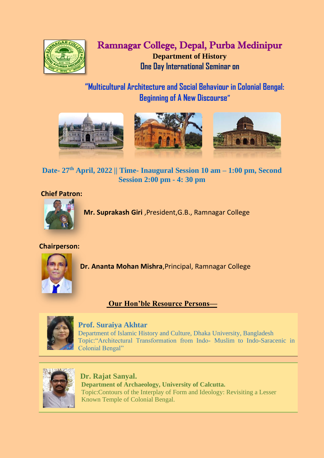

# Ramnagar College, Depal, Purba Medinipur **Department of History One Day International Seminar on**

**"Multicultural Architecture and Social Behaviour in Colonial Bengal: Beginning of A New Discourse"**



**Date- 27th April, 2022 || Time- Inaugural Session 10 am – 1:00 pm, Second Session 2:00 pm - 4: 30 pm**

# **Chief Patron:**



 **Mr. Suprakash Giri** ,President,G.B., Ramnagar College

# **Chairperson:**



**Dr. Ananta Mohan Mishra**,Principal, Ramnagar College

**Our Hon'ble Resource Persons—**



# **Prof. Suraiya Akhtar**

Department of Islamic History and Culture, Dhaka University, Bangladesh Topic:"Architectural Transformation from Indo- Muslim to Indo-Saracenic in Colonial Bengal"



 **Dr. Rajat Sanyal. Department of Archaeology, University of Calcutta.** Topic:Contours of the Interplay of Form and Ideology: Revisiting a Lesser Known Temple of Colonial Bengal.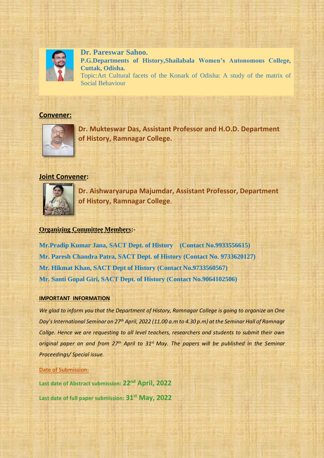

**Dr. Pareswar Sahoo. P.G.Departments of History,Shailabala Women's Autonomous College, Cuttak, Odisha.** Topic:Art Cultural facets of the Konark of Odisha: A study of the matrix of Social Behaviour

#### **Convener:**



**Dr. Mukteswar Das, Assistant Professor and H.O.D. Department of History, Ramnagar College.**

### **Joint Convener:**



**Dr. Aishwaryarupa Majumdar, Assistant Professor, Department of History, Ramnagar College**.

#### **Organizing Committee Members:-**

**Mr.Pradip Kumar Jana, SACT Dept. of History (Contact No.9933556615) Mr. Paresh Chandra Patra, SACT Dept. of History (Contact No. 9733620127) Mr. Hikmat Khan, SACT Dept of History (Contact No.9733560567) Mr. Santi Gopal Giri, SACT Dept. of History (Contact No.9064102506)**

#### **IMPORTANT INFORMATION**

*We glad to inform you that the Department of History, Ramnagar College is going to organize an One Day's International Seminar on 27th April, 2022 (11.00 a.m to 4.30 p.m) at the Seminar Hall of Ramnagr Collge. Hence we are requesting to all level teachers, researchers and students to submit their own original paper on and from 27th April to 31st May. The papers will be published in the Seminar Proceedings/ Special issue.*

#### **Date of Submission:**

**Last date of Abstract submission: 22nd April, 2022 Last date of full paper submission: 31st May, 2022**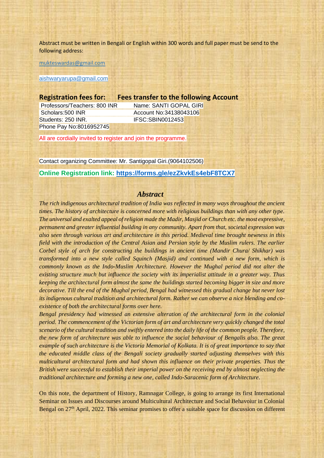Abstract must be written in Bengali or English within 300 words and full paper must be send to the following address:

[mukteswardas@gmail.com](mailto:mukteswardas@gmail.com)

[aishwaryarupa@gmail.com](mailto:aishwaryarupa@gmail.com)

#### **Registration fees for: Fees transfer to the following Account**

Scholars:500 INR Account No:34138043106 Students: 250 INR. IFSC:SBIN0012453 Phone Pay No:8016952745

Professors/Teachers: 800 INR Name: SANTI GOPAL GIRI

All are cordially invited to register and join the programme.

Contact organizing Committee: Mr. Santigopal Giri.(9064102506)

#### **Online Registration link: <https://forms.gle/ezZkvkEs4ebF8TCX7>**

#### *Abstract*

*The rich indigenous architectural tradition of India was reflected in many ways throughout the ancient times. The history of architecture is concerned more with religious buildings than with any other type. The universal and exalted appeal of religion made the Madir, Masjid or Church etc. the most expressive, permanent and greater influential building in any community. Apart from that, societal expression was also seen through various art and architecture in this period. Medieval time brought newness in this field with the introduction of the Central Asian and Persian style by the Muslim rulers. The earlier Corbel style of arch for constructing the buildings in ancient time (Mandir Chura/ Shikhar) was transformed into a new style called Squinch (Masjid) and continued with a new form, which is commonly known as the Indo-Muslim Architecture. However the Mughal period did not alter the existing structure much but influence the society with its imperialist attitude in a greater way. Thus keeping the architectural form almost the same the buildings started becoming bigger in size and more decorative. Till the end of the Mughal period, Bengal had witnessed this gradual change but never lost its indigenous cultural tradition and architectural form. Rather we can observe a nice blending and coexistence of both the architectural forms over here.*

*Bengal presidency had witnessed an extensive alteration of the architectural form in the colonial period. The commencement of the Victorian form of art and architecture very quickly changed the total scenario of the cultural tradition and swiftly entered into the daily life of the common people. Therefore, the new form of architecture was able to influence the social behaviour of Bengalis also. The great example of such architecture is the Victoria Memorial of Kolkata. It is of great importance to say that the educated middle class of the Bengali society gradually started adjusting themselves with this multicultural architectural form and had shown this influence on their private properties. Thus the British were successful to establish their imperial power on the receiving end by almost neglecting the traditional architecture and forming a new one, called Indo-Saracenic form of Architecture.*

On this note, the department of History, Ramnagar College, is going to arrange its first International Seminar on Issues and Discourses around Multicultural Architecture and Social Behavoiur in Colonial Bengal on 27<sup>th</sup> April, 2022. This seminar promises to offer a suitable space for discussion on different